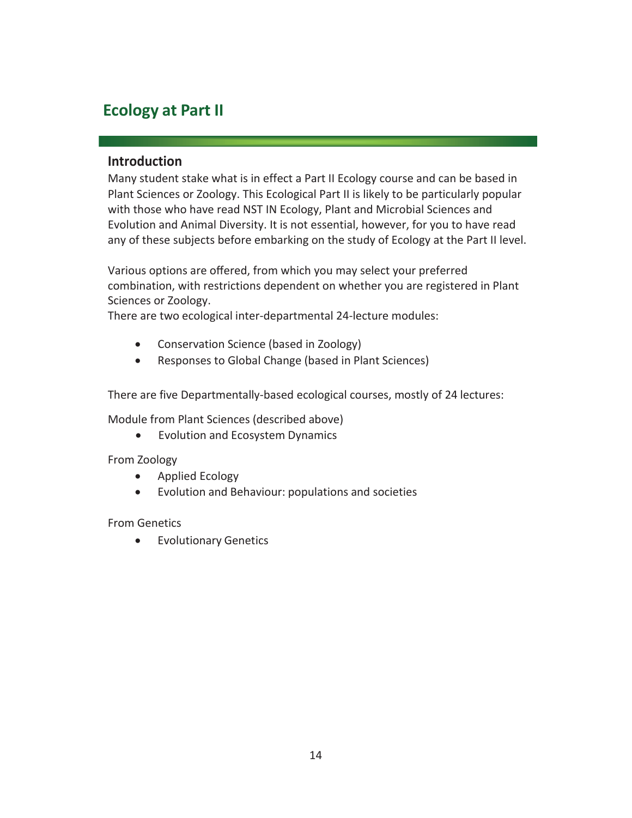## **Ecology at Part II**

## **Introduction**

Many student stake what is in effect a Part II Ecology course and can be based in Plant Sciences or Zoology. This Ecological Part II is likely to be particularly popular with those who have read NST IN Ecology, Plant and Microbial Sciences and Evolution and Animal Diversity. It is not essential, however, for you to have read any of these subjects before embarking on the study of Ecology at the Part II level.

Various options are offered, from which you may select your preferred combination, with restrictions dependent on whether you are registered in Plant Sciences or Zoology.

There are two ecological inter-departmental 24-lecture modules:

- Conservation Science (based in Zoology)
- Responses to Global Change (based in Plant Sciences)

There are five Departmentally-based ecological courses, mostly of 24 lectures:

Module from Plant Sciences (described above)

• Evolution and Ecosystem Dynamics

From Zoology

- Applied Ecology
- Evolution and Behaviour: populations and societies

From Genetics

**•** Evolutionary Genetics